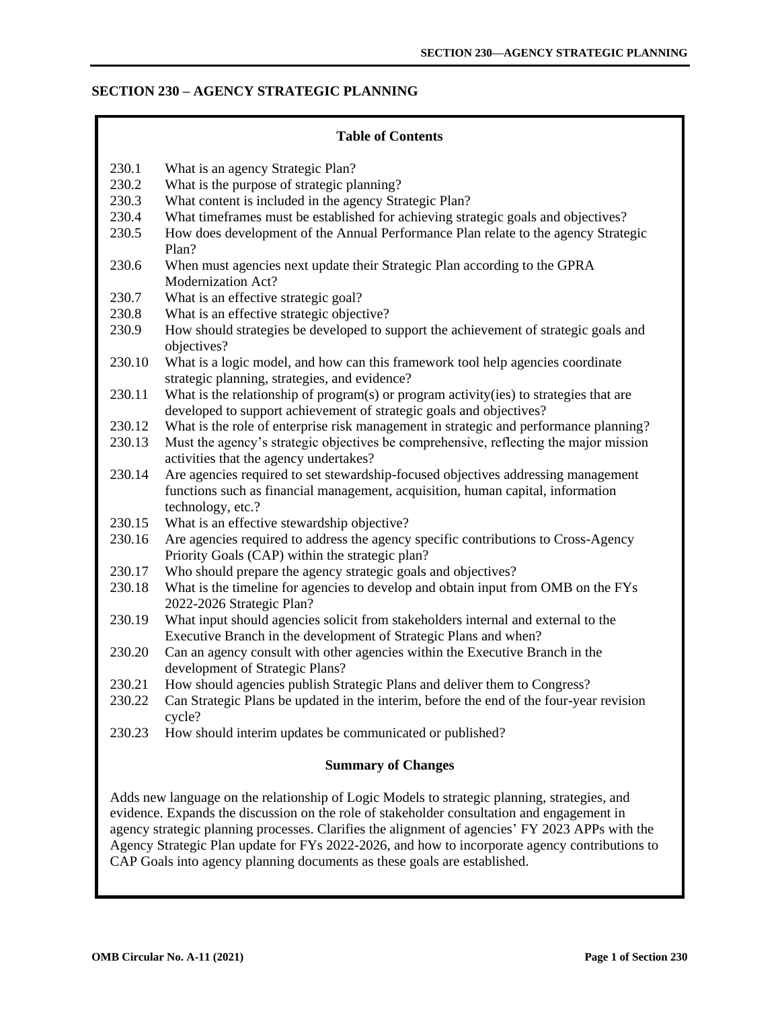# **SECTION 230 – AGENCY STRATEGIC PLANNING**

| <b>Table of Contents</b>                                                                                                                                                                                                                                                                                                                                                                                                                                                    |                                                                                                                                                                                           |  |
|-----------------------------------------------------------------------------------------------------------------------------------------------------------------------------------------------------------------------------------------------------------------------------------------------------------------------------------------------------------------------------------------------------------------------------------------------------------------------------|-------------------------------------------------------------------------------------------------------------------------------------------------------------------------------------------|--|
| 230.1                                                                                                                                                                                                                                                                                                                                                                                                                                                                       | What is an agency Strategic Plan?                                                                                                                                                         |  |
| 230.2                                                                                                                                                                                                                                                                                                                                                                                                                                                                       | What is the purpose of strategic planning?                                                                                                                                                |  |
| 230.3                                                                                                                                                                                                                                                                                                                                                                                                                                                                       | What content is included in the agency Strategic Plan?                                                                                                                                    |  |
| 230.4                                                                                                                                                                                                                                                                                                                                                                                                                                                                       | What timeframes must be established for achieving strategic goals and objectives?                                                                                                         |  |
| 230.5                                                                                                                                                                                                                                                                                                                                                                                                                                                                       | How does development of the Annual Performance Plan relate to the agency Strategic<br>Plan?                                                                                               |  |
| 230.6                                                                                                                                                                                                                                                                                                                                                                                                                                                                       | When must agencies next update their Strategic Plan according to the GPRA<br>Modernization Act?                                                                                           |  |
| 230.7                                                                                                                                                                                                                                                                                                                                                                                                                                                                       | What is an effective strategic goal?                                                                                                                                                      |  |
| 230.8                                                                                                                                                                                                                                                                                                                                                                                                                                                                       | What is an effective strategic objective?                                                                                                                                                 |  |
| 230.9                                                                                                                                                                                                                                                                                                                                                                                                                                                                       | How should strategies be developed to support the achievement of strategic goals and<br>objectives?                                                                                       |  |
| 230.10                                                                                                                                                                                                                                                                                                                                                                                                                                                                      | What is a logic model, and how can this framework tool help agencies coordinate<br>strategic planning, strategies, and evidence?                                                          |  |
| 230.11                                                                                                                                                                                                                                                                                                                                                                                                                                                                      | What is the relationship of program(s) or program activity(ies) to strategies that are<br>developed to support achievement of strategic goals and objectives?                             |  |
| 230.12                                                                                                                                                                                                                                                                                                                                                                                                                                                                      | What is the role of enterprise risk management in strategic and performance planning?                                                                                                     |  |
| 230.13                                                                                                                                                                                                                                                                                                                                                                                                                                                                      | Must the agency's strategic objectives be comprehensive, reflecting the major mission<br>activities that the agency undertakes?                                                           |  |
| 230.14                                                                                                                                                                                                                                                                                                                                                                                                                                                                      | Are agencies required to set stewardship-focused objectives addressing management<br>functions such as financial management, acquisition, human capital, information<br>technology, etc.? |  |
| 230.15                                                                                                                                                                                                                                                                                                                                                                                                                                                                      | What is an effective stewardship objective?                                                                                                                                               |  |
| 230.16                                                                                                                                                                                                                                                                                                                                                                                                                                                                      | Are agencies required to address the agency specific contributions to Cross-Agency<br>Priority Goals (CAP) within the strategic plan?                                                     |  |
| 230.17                                                                                                                                                                                                                                                                                                                                                                                                                                                                      | Who should prepare the agency strategic goals and objectives?                                                                                                                             |  |
| 230.18                                                                                                                                                                                                                                                                                                                                                                                                                                                                      | What is the timeline for agencies to develop and obtain input from OMB on the FYs<br>2022-2026 Strategic Plan?                                                                            |  |
| 230.19                                                                                                                                                                                                                                                                                                                                                                                                                                                                      | What input should agencies solicit from stakeholders internal and external to the<br>Executive Branch in the development of Strategic Plans and when?                                     |  |
| 230.20                                                                                                                                                                                                                                                                                                                                                                                                                                                                      | Can an agency consult with other agencies within the Executive Branch in the<br>development of Strategic Plans?                                                                           |  |
| 230.21                                                                                                                                                                                                                                                                                                                                                                                                                                                                      | How should agencies publish Strategic Plans and deliver them to Congress?                                                                                                                 |  |
| 230.22                                                                                                                                                                                                                                                                                                                                                                                                                                                                      | Can Strategic Plans be updated in the interim, before the end of the four-year revision<br>cycle?                                                                                         |  |
| 230.23                                                                                                                                                                                                                                                                                                                                                                                                                                                                      | How should interim updates be communicated or published?                                                                                                                                  |  |
| <b>Summary of Changes</b>                                                                                                                                                                                                                                                                                                                                                                                                                                                   |                                                                                                                                                                                           |  |
| Adds new language on the relationship of Logic Models to strategic planning, strategies, and<br>evidence. Expands the discussion on the role of stakeholder consultation and engagement in<br>agency strategic planning processes. Clarifies the alignment of agencies' FY 2023 APPs with the<br>Agency Strategic Plan update for FYs 2022-2026, and how to incorporate agency contributions to<br>CAP Goals into agency planning documents as these goals are established. |                                                                                                                                                                                           |  |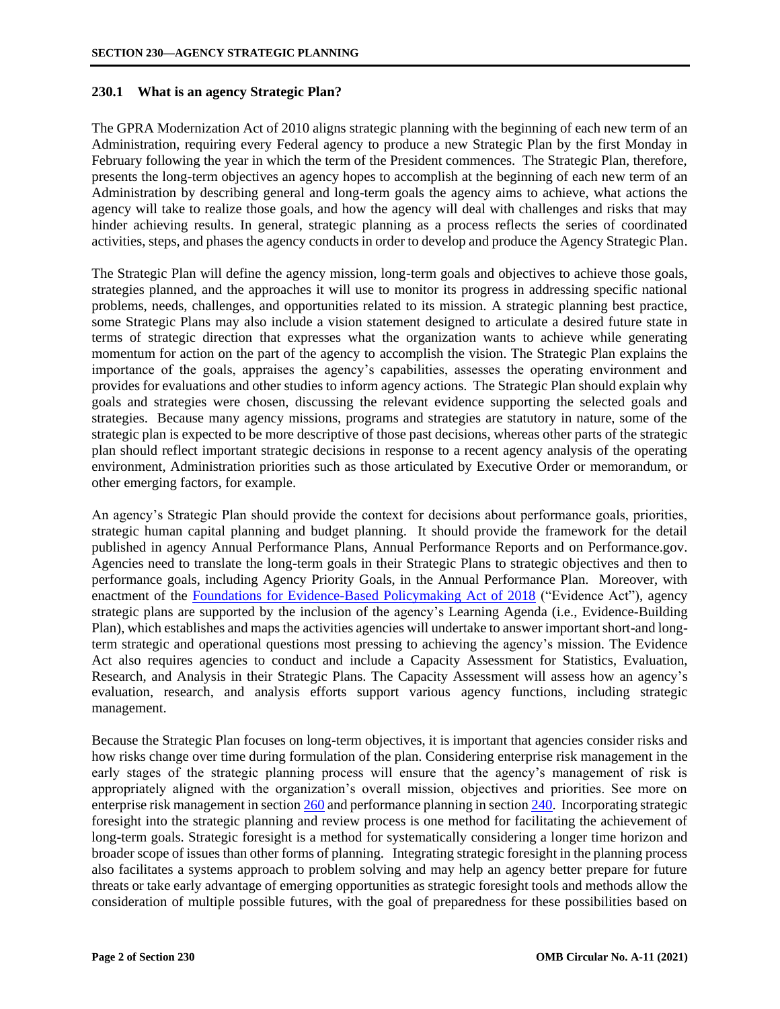## <span id="page-1-0"></span>**230.1 What is an agency Strategic Plan?**

The GPRA Modernization Act of 2010 aligns strategic planning with the beginning of each new term of an Administration, requiring every Federal agency to produce a new Strategic Plan by the first Monday in February following the year in which the term of the President commences. The Strategic Plan, therefore, presents the long-term objectives an agency hopes to accomplish at the beginning of each new term of an Administration by describing general and long-term goals the agency aims to achieve, what actions the agency will take to realize those goals, and how the agency will deal with challenges and risks that may hinder achieving results. In general, strategic planning as a process reflects the series of coordinated activities, steps, and phases the agency conducts in order to develop and produce the Agency Strategic Plan.

The Strategic Plan will define the agency mission, long-term goals and objectives to achieve those goals, strategies planned, and the approaches it will use to monitor its progress in addressing specific national problems, needs, challenges, and opportunities related to its mission. A strategic planning best practice, some Strategic Plans may also include a vision statement designed to articulate a desired future state in terms of strategic direction that expresses what the organization wants to achieve while generating momentum for action on the part of the agency to accomplish the vision. The Strategic Plan explains the importance of the goals, appraises the agency's capabilities, assesses the operating environment and provides for evaluations and other studies to inform agency actions. The Strategic Plan should explain why goals and strategies were chosen, discussing the relevant evidence supporting the selected goals and strategies. Because many agency missions, programs and strategies are statutory in nature, some of the strategic plan is expected to be more descriptive of those past decisions, whereas other parts of the strategic plan should reflect important strategic decisions in response to a recent agency analysis of the operating environment, Administration priorities such as those articulated by Executive Order or memorandum, or other emerging factors, for example.

An agency's Strategic Plan should provide the context for decisions about performance goals, priorities, strategic human capital planning and budget planning. It should provide the framework for the detail published in agency Annual Performance Plans, Annual Performance Reports and on Performance.gov. Agencies need to translate the long-term goals in their Strategic Plans to strategic objectives and then to performance goals, including Agency Priority Goals, in the Annual Performance Plan. Moreover, with enactment of the [Foundations for Evidence-Based Policymaking Act of 2018](https://www.congress.gov/115/bills/hr4174/BILLS-115hr4174enr.pdf) ("Evidence Act"), agency strategic plans are supported by the inclusion of the agency's Learning Agenda (i.e., Evidence-Building Plan), which establishes and maps the activities agencies will undertake to answer important short-and longterm strategic and operational questions most pressing to achieving the agency's mission. The Evidence Act also requires agencies to conduct and include a Capacity Assessment for Statistics, Evaluation, Research, and Analysis in their Strategic Plans. The Capacity Assessment will assess how an agency's evaluation, research, and analysis efforts support various agency functions, including strategic management.

Because the Strategic Plan focuses on long-term objectives, it is important that agencies consider risks and how risks change over time during formulation of the plan. Considering enterprise risk management in the early stages of the strategic planning process will ensure that the agency's management of risk is appropriately aligned with the organization's overall mission, objectives and priorities. See more on enterprise risk management in sectio[n 260](https://www.whitehouse.gov/wp-content/uploads/2018/06/s260.pdf) and performance planning in sectio[n 240.](https://www.whitehouse.gov/wp-content/uploads/2018/06/s240.pdf) Incorporating strategic foresight into the strategic planning and review process is one method for facilitating the achievement of long-term goals. Strategic foresight is a method for systematically considering a longer time horizon and broader scope of issues than other forms of planning. Integrating strategic foresight in the planning process also facilitates a systems approach to problem solving and may help an agency better prepare for future threats or take early advantage of emerging opportunities as strategic foresight tools and methods allow the consideration of multiple possible futures, with the goal of preparedness for these possibilities based on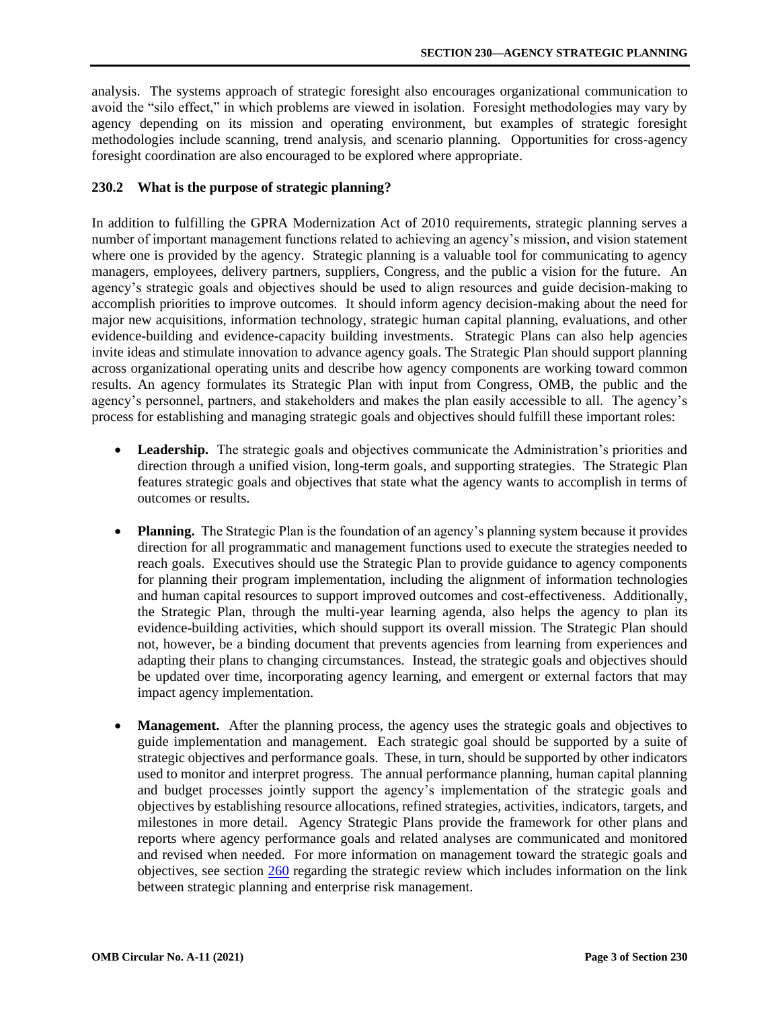<span id="page-2-0"></span>analysis. The systems approach of strategic foresight also encourages organizational communication to avoid the "silo effect," in which problems are viewed in isolation. Foresight methodologies may vary by agency depending on its mission and operating environment, but examples of strategic foresight methodologies include scanning, trend analysis, and scenario planning. Opportunities for cross-agency foresight coordination are also encouraged to be explored where appropriate.

### **230.2 What is the purpose of strategic planning?**

In addition to fulfilling the GPRA Modernization Act of 2010 requirements, strategic planning serves a number of important management functions related to achieving an agency's mission, and vision statement where one is provided by the agency. Strategic planning is a valuable tool for communicating to agency managers, employees, delivery partners, suppliers, Congress, and the public a vision for the future. An agency's strategic goals and objectives should be used to align resources and guide decision-making to accomplish priorities to improve outcomes. It should inform agency decision-making about the need for major new acquisitions, information technology, strategic human capital planning, evaluations, and other evidence-building and evidence-capacity building investments. Strategic Plans can also help agencies invite ideas and stimulate innovation to advance agency goals. The Strategic Plan should support planning across organizational operating units and describe how agency components are working toward common results. An agency formulates its Strategic Plan with input from Congress, OMB, the public and the agency's personnel, partners, and stakeholders and makes the plan easily accessible to all. The agency's process for establishing and managing strategic goals and objectives should fulfill these important roles:

- **Leadership.** The strategic goals and objectives communicate the Administration's priorities and direction through a unified vision, long-term goals, and supporting strategies. The Strategic Plan features strategic goals and objectives that state what the agency wants to accomplish in terms of outcomes or results.
- **Planning.** The Strategic Plan is the foundation of an agency's planning system because it provides direction for all programmatic and management functions used to execute the strategies needed to reach goals. Executives should use the Strategic Plan to provide guidance to agency components for planning their program implementation, including the alignment of information technologies and human capital resources to support improved outcomes and cost-effectiveness. Additionally, the Strategic Plan, through the multi-year learning agenda, also helps the agency to plan its evidence-building activities, which should support its overall mission. The Strategic Plan should not, however, be a binding document that prevents agencies from learning from experiences and adapting their plans to changing circumstances. Instead, the strategic goals and objectives should be updated over time, incorporating agency learning, and emergent or external factors that may impact agency implementation.
- **Management.** After the planning process, the agency uses the strategic goals and objectives to guide implementation and management. Each strategic goal should be supported by a suite of strategic objectives and performance goals. These, in turn, should be supported by other indicators used to monitor and interpret progress. The annual performance planning, human capital planning and budget processes jointly support the agency's implementation of the strategic goals and objectives by establishing resource allocations, refined strategies, activities, indicators, targets, and milestones in more detail. Agency Strategic Plans provide the framework for other plans and reports where agency performance goals and related analyses are communicated and monitored and revised when needed. For more information on management toward the strategic goals and objectives, see sectio[n 260](https://www.whitehouse.gov/wp-content/uploads/2018/06/s260.pdf) regarding the strategic review which includes information on the link between strategic planning and enterprise risk management.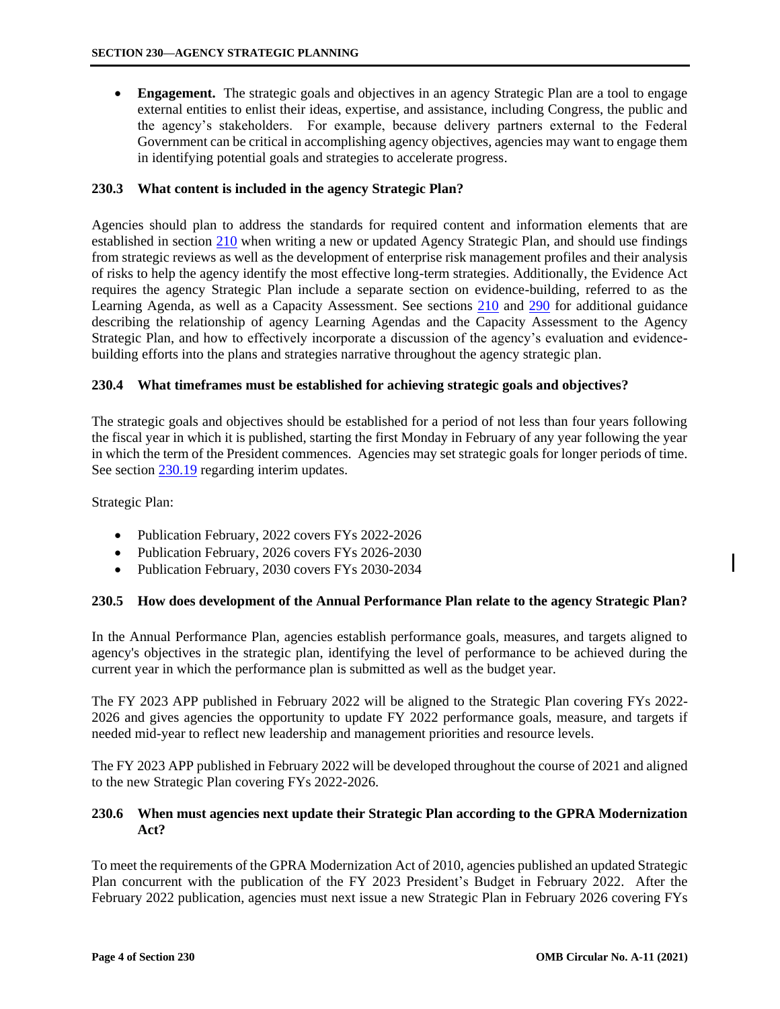<span id="page-3-0"></span>• **Engagement.** The strategic goals and objectives in an agency Strategic Plan are a tool to engage external entities to enlist their ideas, expertise, and assistance, including Congress, the public and the agency's stakeholders. For example, because delivery partners external to the Federal Government can be critical in accomplishing agency objectives, agencies may want to engage them in identifying potential goals and strategies to accelerate progress.

## **230.3 What content is included in the agency Strategic Plan?**

Agencies should plan to address the standards for required content and information elements that are established in section [210](https://www.whitehouse.gov/wp-content/uploads/2018/06/s210.pdf) when writing a new or updated Agency Strategic Plan, and should use findings from strategic reviews as well as the development of enterprise risk management profiles and their analysis of risks to help the agency identify the most effective long-term strategies. Additionally, the Evidence Act requires the agency Strategic Plan include a separate section on evidence-building, referred to as the Learning Agenda, as well as a Capacity Assessment. See sections [210](https://www.whitehouse.gov/wp-content/uploads/2018/06/s210.pdf) and [290](https://www.whitehouse.gov/wp-content/uploads/2018/06/s290.pdf) for additional guidance describing the relationship of agency Learning Agendas and the Capacity Assessment to the Agency Strategic Plan, and how to effectively incorporate a discussion of the agency's evaluation and evidencebuilding efforts into the plans and strategies narrative throughout the agency strategic plan.

### **230.4 What timeframes must be established for achieving strategic goals and objectives?**

The strategic goals and objectives should be established for a period of not less than four years following the fiscal year in which it is published, starting the first Monday in February of any year following the year in which the term of the President commences. Agencies may set strategic goals for longer periods of time. See section [230.19](#page-13-0) regarding interim updates.

Strategic Plan:

- Publication February, 2022 covers FYs 2022-2026
- Publication February, 2026 covers FYs 2026-2030
- Publication February, 2030 covers FYs 2030-2034

#### **230.5 How does development of the Annual Performance Plan relate to the agency Strategic Plan?**

In the Annual Performance Plan, agencies establish performance goals, measures, and targets aligned to agency's objectives in the strategic plan, identifying the level of performance to be achieved during the current year in which the performance plan is submitted as well as the budget year.

The FY 2023 APP published in February 2022 will be aligned to the Strategic Plan covering FYs 2022- 2026 and gives agencies the opportunity to update FY 2022 performance goals, measure, and targets if needed mid-year to reflect new leadership and management priorities and resource levels.

The FY 2023 APP published in February 2022 will be developed throughout the course of 2021 and aligned to the new Strategic Plan covering FYs 2022-2026.

## **230.6 When must agencies next update their Strategic Plan according to the GPRA Modernization Act?**

To meet the requirements of the GPRA Modernization Act of 2010, agencies published an updated Strategic Plan concurrent with the publication of the FY 2023 President's Budget in February 2022. After the February 2022 publication, agencies must next issue a new Strategic Plan in February 2026 covering FYs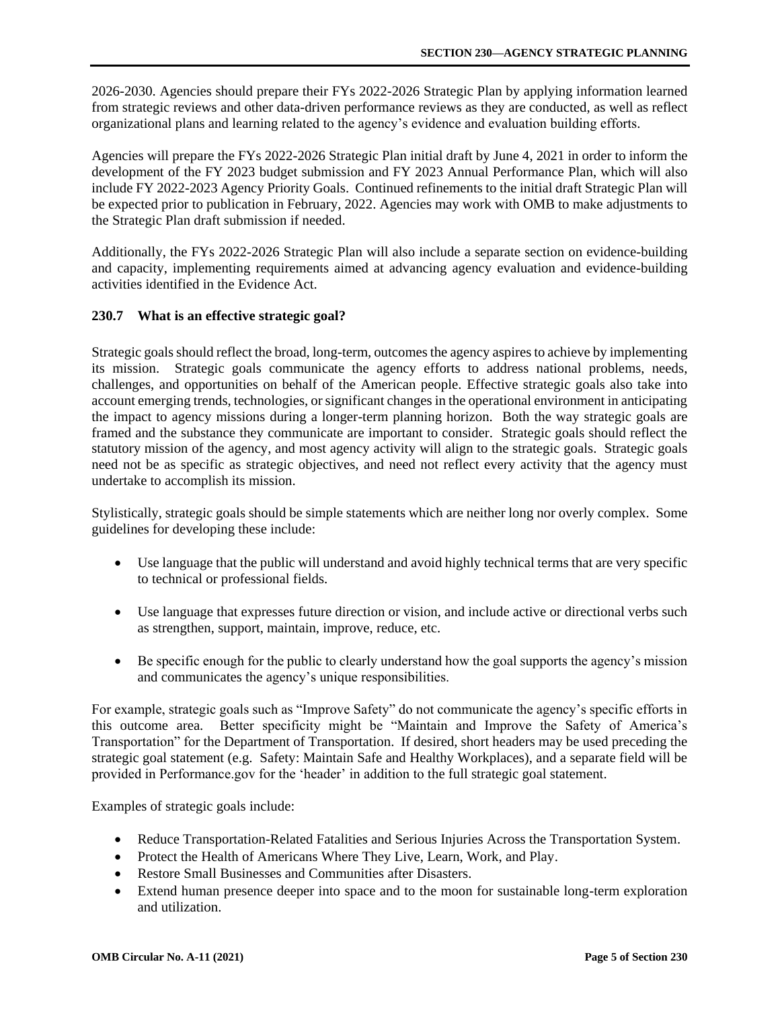<span id="page-4-0"></span>2026-2030. Agencies should prepare their FYs 2022-2026 Strategic Plan by applying information learned from strategic reviews and other data-driven performance reviews as they are conducted, as well as reflect organizational plans and learning related to the agency's evidence and evaluation building efforts.

Agencies will prepare the FYs 2022-2026 Strategic Plan initial draft by June 4, 2021 in order to inform the development of the FY 2023 budget submission and FY 2023 Annual Performance Plan, which will also include FY 2022-2023 Agency Priority Goals. Continued refinements to the initial draft Strategic Plan will be expected prior to publication in February, 2022. Agencies may work with OMB to make adjustments to the Strategic Plan draft submission if needed.

Additionally, the FYs 2022-2026 Strategic Plan will also include a separate section on evidence-building and capacity, implementing requirements aimed at advancing agency evaluation and evidence-building activities identified in the Evidence Act.

# **230.7 What is an effective strategic goal?**

Strategic goals should reflect the broad, long-term, outcomes the agency aspires to achieve by implementing its mission. Strategic goals communicate the agency efforts to address national problems, needs, challenges, and opportunities on behalf of the American people. Effective strategic goals also take into account emerging trends, technologies, or significant changes in the operational environment in anticipating the impact to agency missions during a longer-term planning horizon. Both the way strategic goals are framed and the substance they communicate are important to consider. Strategic goals should reflect the statutory mission of the agency, and most agency activity will align to the strategic goals. Strategic goals need not be as specific as strategic objectives, and need not reflect every activity that the agency must undertake to accomplish its mission.

Stylistically, strategic goals should be simple statements which are neither long nor overly complex. Some guidelines for developing these include:

- Use language that the public will understand and avoid highly technical terms that are very specific to technical or professional fields.
- Use language that expresses future direction or vision, and include active or directional verbs such as strengthen, support, maintain, improve, reduce, etc.
- Be specific enough for the public to clearly understand how the goal supports the agency's mission and communicates the agency's unique responsibilities.

For example, strategic goals such as "Improve Safety" do not communicate the agency's specific efforts in this outcome area. Better specificity might be "Maintain and Improve the Safety of America's Transportation" for the Department of Transportation. If desired, short headers may be used preceding the strategic goal statement (e.g. Safety: Maintain Safe and Healthy Workplaces), and a separate field will be provided in Performance.gov for the 'header' in addition to the full strategic goal statement.

Examples of strategic goals include:

- Reduce Transportation-Related Fatalities and Serious Injuries Across the Transportation System.
- Protect the Health of Americans Where They Live, Learn, Work, and Play.
- Restore Small Businesses and Communities after Disasters.
- Extend human presence deeper into space and to the moon for sustainable long-term exploration and utilization.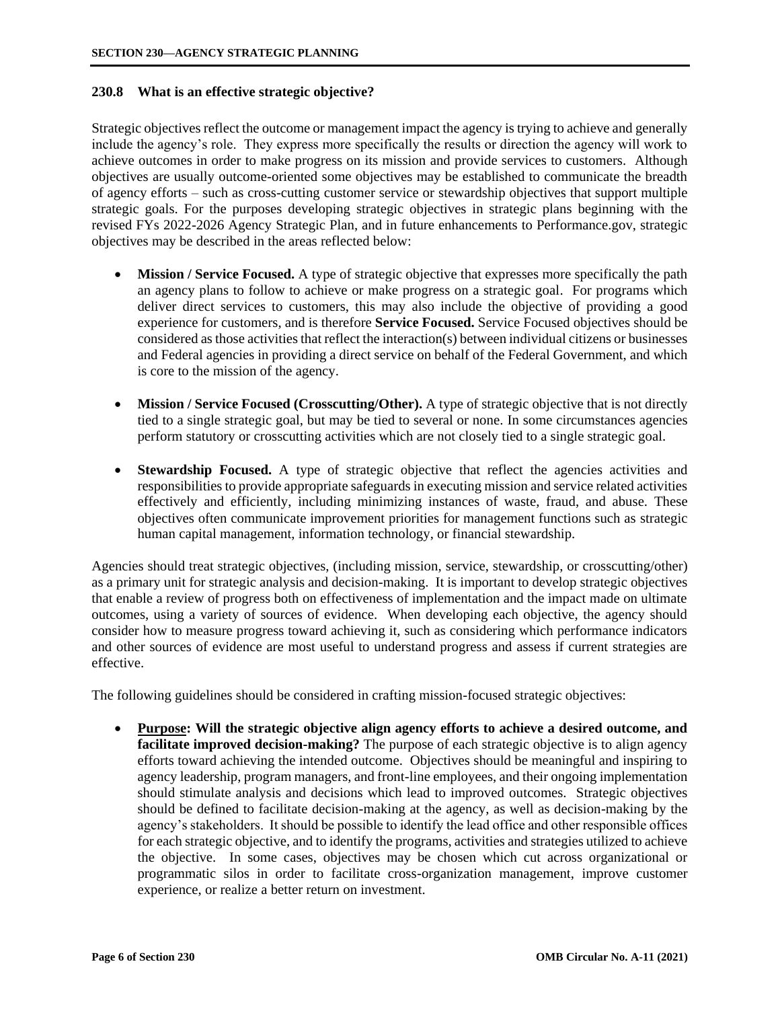### <span id="page-5-0"></span>**230.8 What is an effective strategic objective?**

Strategic objectives reflect the outcome or management impact the agency is trying to achieve and generally include the agency's role. They express more specifically the results or direction the agency will work to achieve outcomes in order to make progress on its mission and provide services to customers. Although objectives are usually outcome-oriented some objectives may be established to communicate the breadth of agency efforts – such as cross-cutting customer service or stewardship objectives that support multiple strategic goals. For the purposes developing strategic objectives in strategic plans beginning with the revised FYs 2022-2026 Agency Strategic Plan, and in future enhancements to Performance.gov, strategic objectives may be described in the areas reflected below:

- **Mission / Service Focused.** A type of strategic objective that expresses more specifically the path an agency plans to follow to achieve or make progress on a strategic goal. For programs which deliver direct services to customers, this may also include the objective of providing a good experience for customers, and is therefore **Service Focused.** Service Focused objectives should be considered as those activities that reflect the interaction(s) between individual citizens or businesses and Federal agencies in providing a direct service on behalf of the Federal Government, and which is core to the mission of the agency.
- **Mission / Service Focused (Crosscutting/Other).** A type of strategic objective that is not directly tied to a single strategic goal, but may be tied to several or none. In some circumstances agencies perform statutory or crosscutting activities which are not closely tied to a single strategic goal.
- **Stewardship Focused.** A type of strategic objective that reflect the agencies activities and responsibilities to provide appropriate safeguards in executing mission and service related activities effectively and efficiently, including minimizing instances of waste, fraud, and abuse. These objectives often communicate improvement priorities for management functions such as strategic human capital management, information technology, or financial stewardship.

Agencies should treat strategic objectives, (including mission, service, stewardship, or crosscutting/other) as a primary unit for strategic analysis and decision-making. It is important to develop strategic objectives that enable a review of progress both on effectiveness of implementation and the impact made on ultimate outcomes, using a variety of sources of evidence. When developing each objective, the agency should consider how to measure progress toward achieving it, such as considering which performance indicators and other sources of evidence are most useful to understand progress and assess if current strategies are effective.

The following guidelines should be considered in crafting mission-focused strategic objectives:

• **Purpose: Will the strategic objective align agency efforts to achieve a desired outcome, and facilitate improved decision-making?** The purpose of each strategic objective is to align agency efforts toward achieving the intended outcome. Objectives should be meaningful and inspiring to agency leadership, program managers, and front-line employees, and their ongoing implementation should stimulate analysis and decisions which lead to improved outcomes. Strategic objectives should be defined to facilitate decision-making at the agency, as well as decision-making by the agency's stakeholders. It should be possible to identify the lead office and other responsible offices for each strategic objective, and to identify the programs, activities and strategies utilized to achieve the objective. In some cases, objectives may be chosen which cut across organizational or programmatic silos in order to facilitate cross-organization management, improve customer experience, or realize a better return on investment.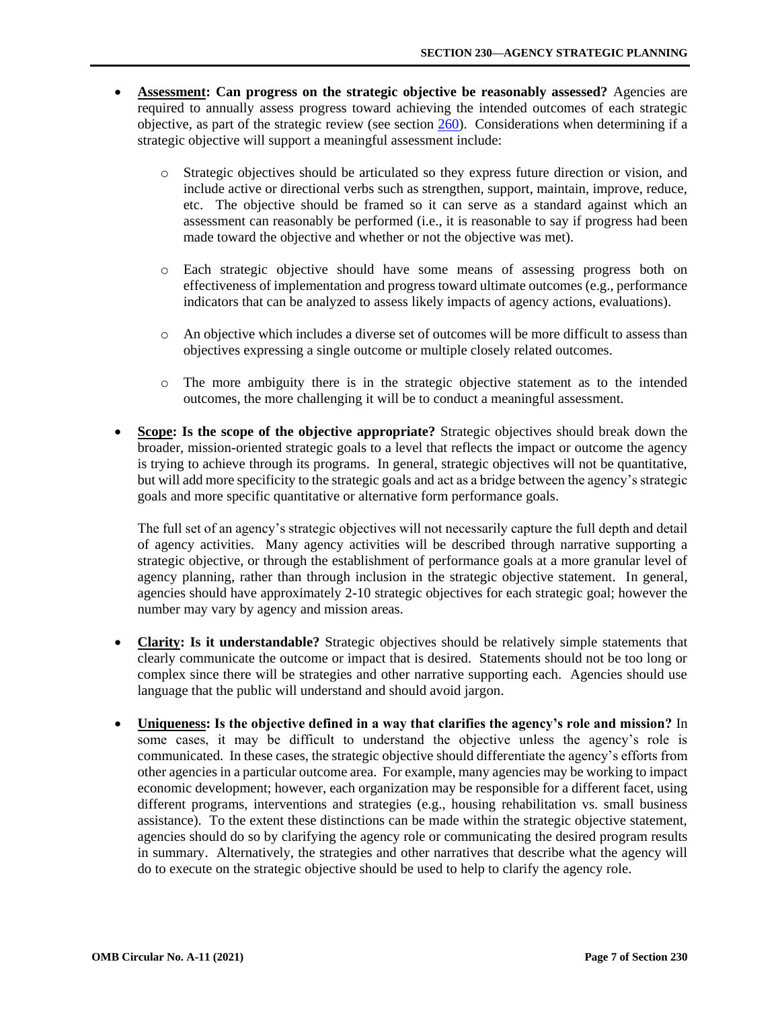- **Assessment: Can progress on the strategic objective be reasonably assessed?** Agencies are required to annually assess progress toward achieving the intended outcomes of each strategic objective, as part of the strategic review (see section [260\).](https://www.whitehouse.gov/wp-content/uploads/2018/06/s260.pdf) Considerations when determining if a strategic objective will support a meaningful assessment include:
	- o Strategic objectives should be articulated so they express future direction or vision, and include active or directional verbs such as strengthen, support, maintain, improve, reduce, etc. The objective should be framed so it can serve as a standard against which an assessment can reasonably be performed (i.e., it is reasonable to say if progress had been made toward the objective and whether or not the objective was met).
	- o Each strategic objective should have some means of assessing progress both on effectiveness of implementation and progress toward ultimate outcomes (e.g., performance indicators that can be analyzed to assess likely impacts of agency actions, evaluations).
	- o An objective which includes a diverse set of outcomes will be more difficult to assess than objectives expressing a single outcome or multiple closely related outcomes.
	- o The more ambiguity there is in the strategic objective statement as to the intended outcomes, the more challenging it will be to conduct a meaningful assessment.
- **Scope: Is the scope of the objective appropriate?** Strategic objectives should break down the broader, mission-oriented strategic goals to a level that reflects the impact or outcome the agency is trying to achieve through its programs. In general, strategic objectives will not be quantitative, but will add more specificity to the strategic goals and act as a bridge between the agency's strategic goals and more specific quantitative or alternative form performance goals.

The full set of an agency's strategic objectives will not necessarily capture the full depth and detail of agency activities. Many agency activities will be described through narrative supporting a strategic objective, or through the establishment of performance goals at a more granular level of agency planning, rather than through inclusion in the strategic objective statement. In general, agencies should have approximately 2-10 strategic objectives for each strategic goal; however the number may vary by agency and mission areas.

- **Clarity: Is it understandable?** Strategic objectives should be relatively simple statements that clearly communicate the outcome or impact that is desired. Statements should not be too long or complex since there will be strategies and other narrative supporting each. Agencies should use language that the public will understand and should avoid jargon.
- **Uniqueness: Is the objective defined in a way that clarifies the agency's role and mission?** In some cases, it may be difficult to understand the objective unless the agency's role is communicated. In these cases, the strategic objective should differentiate the agency's efforts from other agencies in a particular outcome area. For example, many agencies may be working to impact economic development; however, each organization may be responsible for a different facet, using different programs, interventions and strategies (e.g., housing rehabilitation vs. small business assistance). To the extent these distinctions can be made within the strategic objective statement, agencies should do so by clarifying the agency role or communicating the desired program results in summary. Alternatively, the strategies and other narratives that describe what the agency will do to execute on the strategic objective should be used to help to clarify the agency role.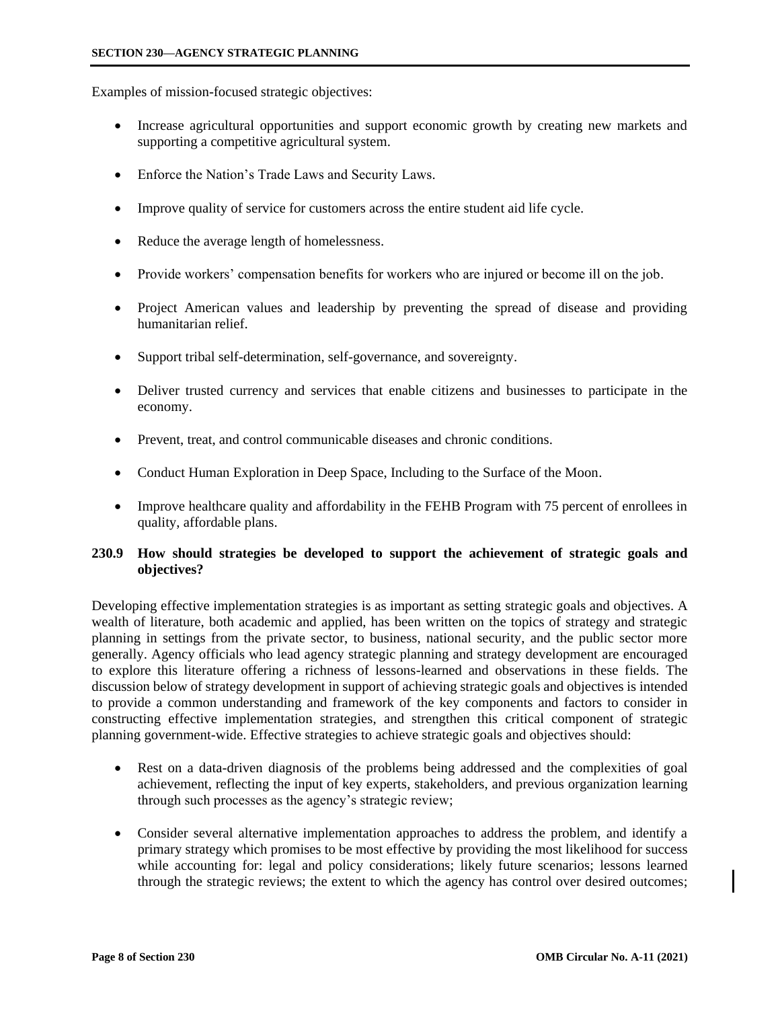<span id="page-7-0"></span>Examples of mission-focused strategic objectives:

- Increase agricultural opportunities and support economic growth by creating new markets and supporting a competitive agricultural system.
- Enforce the Nation's Trade Laws and Security Laws.
- Improve quality of service for customers across the entire student aid life cycle.
- Reduce the average length of homelessness.
- Provide workers' compensation benefits for workers who are injured or become ill on the job.
- Project American values and leadership by preventing the spread of disease and providing humanitarian relief.
- Support tribal self-determination, self-governance, and sovereignty.
- Deliver trusted currency and services that enable citizens and businesses to participate in the economy.
- Prevent, treat, and control communicable diseases and chronic conditions.
- Conduct Human Exploration in Deep Space, Including to the Surface of the Moon.
- Improve healthcare quality and affordability in the FEHB Program with 75 percent of enrollees in quality, affordable plans.

## **230.9 How should strategies be developed to support the achievement of strategic goals and objectives?**

Developing effective implementation strategies is as important as setting strategic goals and objectives. A wealth of literature, both academic and applied, has been written on the topics of strategy and strategic planning in settings from the private sector, to business, national security, and the public sector more generally. Agency officials who lead agency strategic planning and strategy development are encouraged to explore this literature offering a richness of lessons-learned and observations in these fields. The discussion below of strategy development in support of achieving strategic goals and objectives is intended to provide a common understanding and framework of the key components and factors to consider in constructing effective implementation strategies, and strengthen this critical component of strategic planning government-wide. Effective strategies to achieve strategic goals and objectives should:

- Rest on a data-driven diagnosis of the problems being addressed and the complexities of goal achievement, reflecting the input of key experts, stakeholders, and previous organization learning through such processes as the agency's strategic review;
- Consider several alternative implementation approaches to address the problem, and identify a primary strategy which promises to be most effective by providing the most likelihood for success while accounting for: legal and policy considerations; likely future scenarios; lessons learned through the strategic reviews; the extent to which the agency has control over desired outcomes;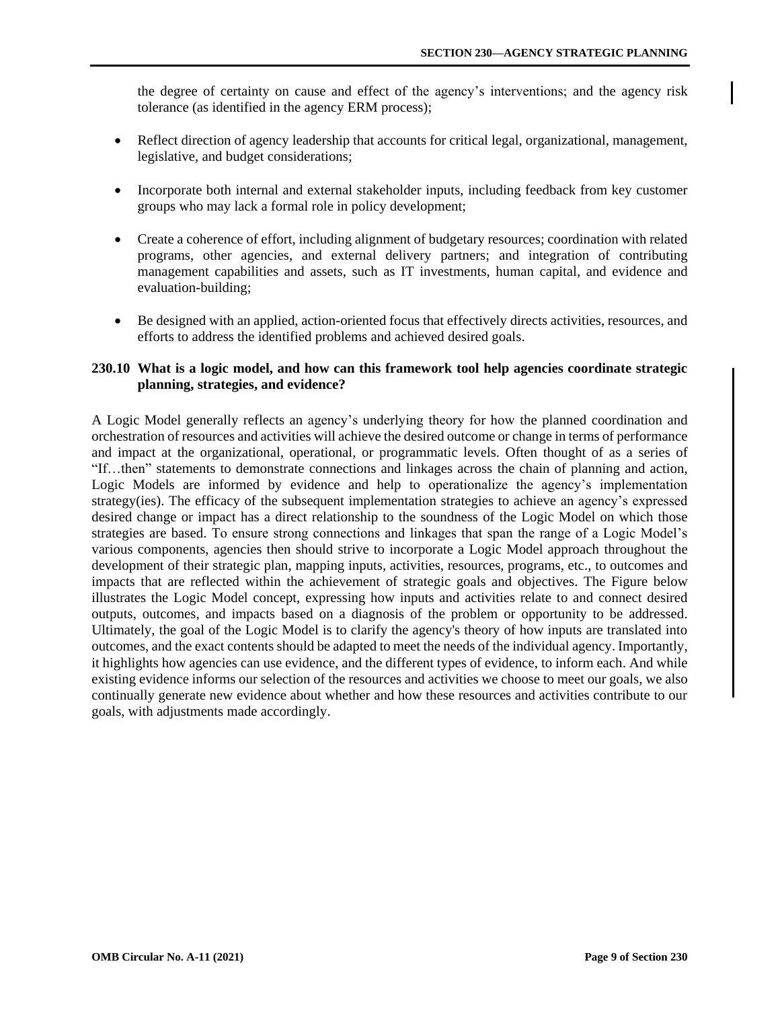<span id="page-8-0"></span>the degree of certainty on cause and effect of the agency's interventions; and the agency risk tolerance (as identified in the agency ERM process);

- Reflect direction of agency leadership that accounts for critical legal, organizational, management, legislative, and budget considerations;
- Incorporate both internal and external stakeholder inputs, including feedback from key customer groups who may lack a formal role in policy development;
- Create a coherence of effort, including alignment of budgetary resources; coordination with related programs, other agencies, and external delivery partners; and integration of contributing management capabilities and assets, such as IT investments, human capital, and evidence and evaluation-building;
- Be designed with an applied, action-oriented focus that effectively directs activities, resources, and efforts to address the identified problems and achieved desired goals.

## **230.10 What is a logic model, and how can this framework tool help agencies coordinate strategic planning, strategies, and evidence?**

A Logic Model generally reflects an agency's underlying theory for how the planned coordination and orchestration of resources and activities will achieve the desired outcome or change in terms of performance and impact at the organizational, operational, or programmatic levels. Often thought of as a series of "If…then" statements to demonstrate connections and linkages across the chain of planning and action, Logic Models are informed by evidence and help to operationalize the agency's implementation strategy(ies). The efficacy of the subsequent implementation strategies to achieve an agency's expressed desired change or impact has a direct relationship to the soundness of the Logic Model on which those strategies are based. To ensure strong connections and linkages that span the range of a Logic Model's various components, agencies then should strive to incorporate a Logic Model approach throughout the development of their strategic plan, mapping inputs, activities, resources, programs, etc., to outcomes and impacts that are reflected within the achievement of strategic goals and objectives. The Figure below illustrates the Logic Model concept, expressing how inputs and activities relate to and connect desired outputs, outcomes, and impacts based on a diagnosis of the problem or opportunity to be addressed. Ultimately, the goal of the Logic Model is to clarify the agency's theory of how inputs are translated into outcomes, and the exact contents should be adapted to meet the needs of the individual agency. Importantly, it highlights how agencies can use evidence, and the different types of evidence, to inform each. And while existing evidence informs our selection of the resources and activities we choose to meet our goals, we also continually generate new evidence about whether and how these resources and activities contribute to our goals, with adjustments made accordingly.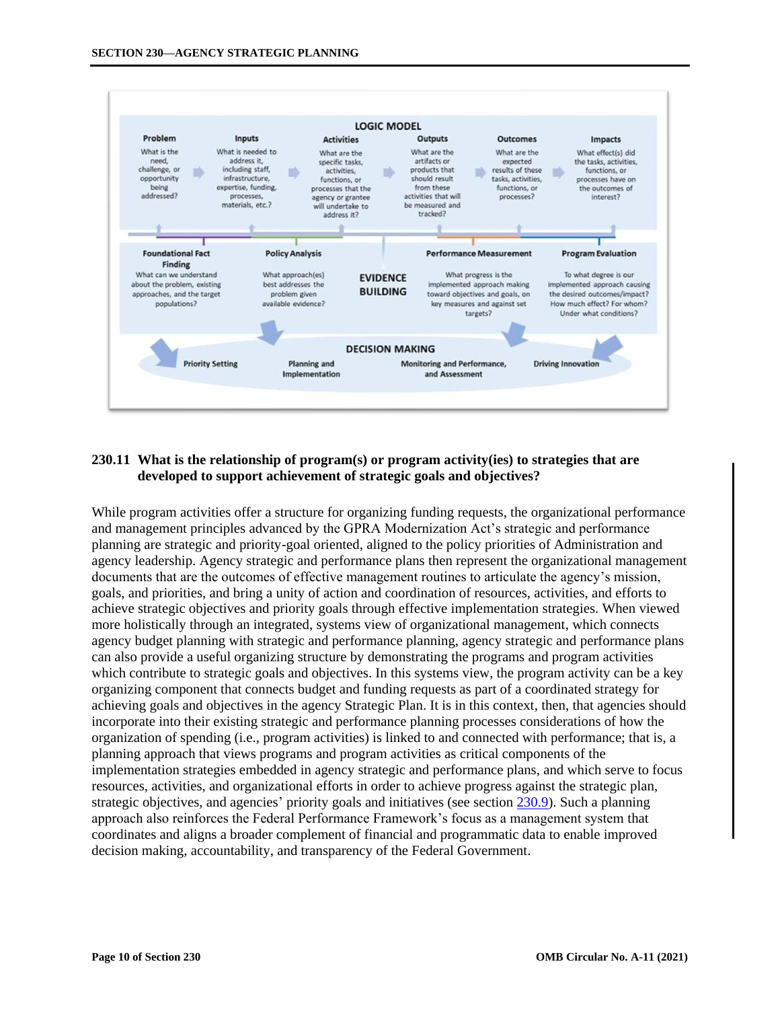<span id="page-9-0"></span>

# **230.11 What is the relationship of program(s) or program activity(ies) to strategies that are developed to support achievement of strategic goals and objectives?**

While program activities offer a structure for organizing funding requests, the organizational performance and management principles advanced by the GPRA Modernization Act's strategic and performance planning are strategic and priority-goal oriented, aligned to the policy priorities of Administration and agency leadership. Agency strategic and performance plans then represent the organizational management documents that are the outcomes of effective management routines to articulate the agency's mission, goals, and priorities, and bring a unity of action and coordination of resources, activities, and efforts to achieve strategic objectives and priority goals through effective implementation strategies. When viewed more holistically through an integrated, systems view of organizational management, which connects agency budget planning with strategic and performance planning, agency strategic and performance plans can also provide a useful organizing structure by demonstrating the programs and program activities which contribute to strategic goals and objectives. In this systems view, the program activity can be a key organizing component that connects budget and funding requests as part of a coordinated strategy for achieving goals and objectives in the agency Strategic Plan. It is in this context, then, that agencies should incorporate into their existing strategic and performance planning processes considerations of how the organization of spending (i.e., program activities) is linked to and connected with performance; that is, a planning approach that views programs and program activities as critical components of the implementation strategies embedded in agency strategic and performance plans, and which serve to focus resources, activities, and organizational efforts in order to achieve progress against the strategic plan, strategic objectives, and agencies' priority goals and initiatives (see section [230.9\).](#page-7-0) Such a planning approach also reinforces the Federal Performance Framework's focus as a management system that coordinates and aligns a broader complement of financial and programmatic data to enable improved decision making, accountability, and transparency of the Federal Government.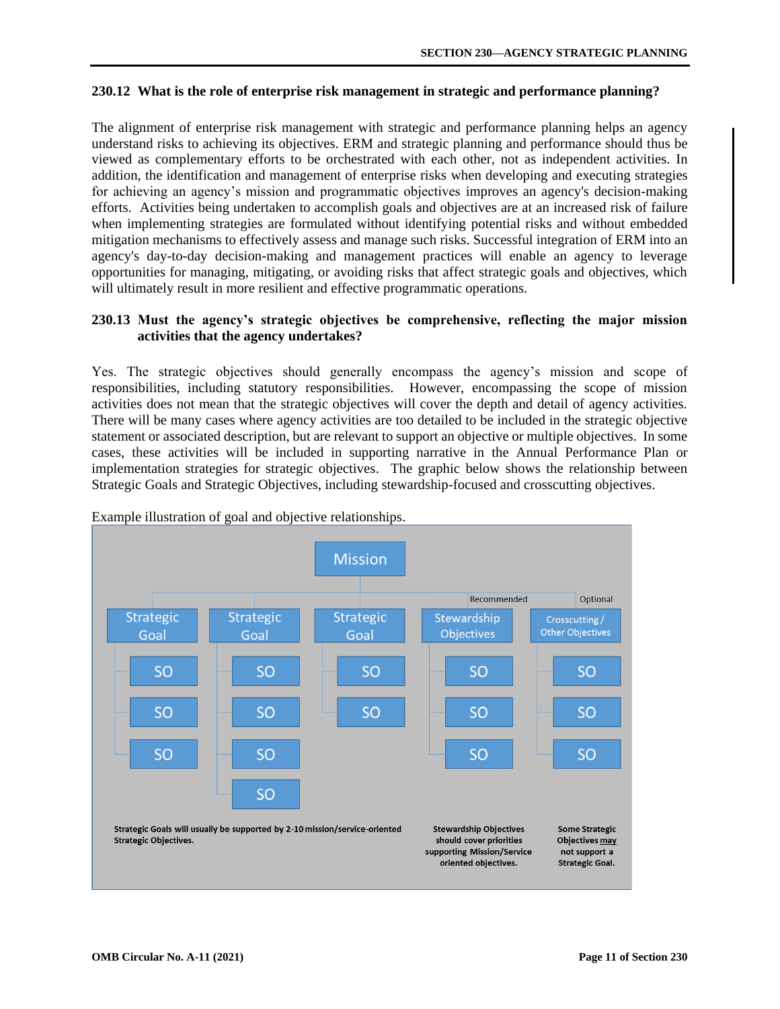## <span id="page-10-0"></span>**230.12 What is the role of enterprise risk management in strategic and performance planning?**

The alignment of enterprise risk management with strategic and performance planning helps an agency understand risks to achieving its objectives. ERM and strategic planning and performance should thus be viewed as complementary efforts to be orchestrated with each other, not as independent activities. In addition, the identification and management of enterprise risks when developing and executing strategies for achieving an agency's mission and programmatic objectives improves an agency's decision-making efforts. Activities being undertaken to accomplish goals and objectives are at an increased risk of failure when implementing strategies are formulated without identifying potential risks and without embedded mitigation mechanisms to effectively assess and manage such risks. Successful integration of ERM into an agency's day-to-day decision-making and management practices will enable an agency to leverage opportunities for managing, mitigating, or avoiding risks that affect strategic goals and objectives, which will ultimately result in more resilient and effective programmatic operations.

### **230.13 Must the agency's strategic objectives be comprehensive, reflecting the major mission activities that the agency undertakes?**

Yes. The strategic objectives should generally encompass the agency's mission and scope of responsibilities, including statutory responsibilities. However, encompassing the scope of mission activities does not mean that the strategic objectives will cover the depth and detail of agency activities. There will be many cases where agency activities are too detailed to be included in the strategic objective statement or associated description, but are relevant to support an objective or multiple objectives. In some cases, these activities will be included in supporting narrative in the Annual Performance Plan or implementation strategies for strategic objectives. The graphic below shows the relationship between Strategic Goals and Strategic Objectives, including stewardship-focused and crosscutting objectives.



Example illustration of goal and objective relationships.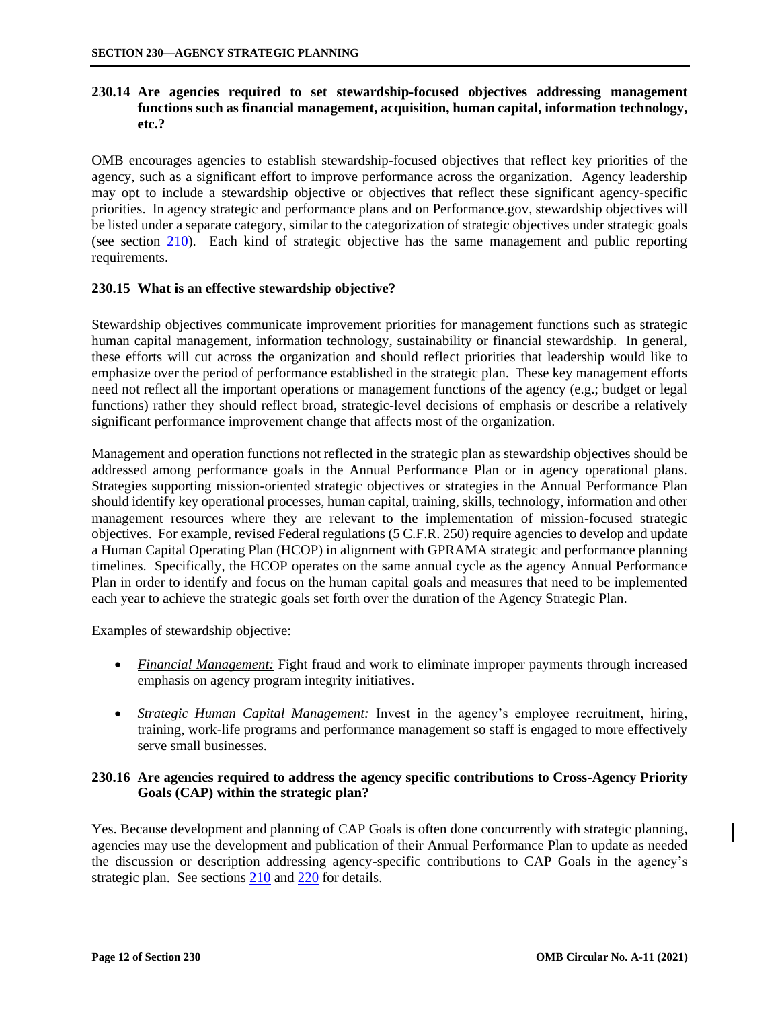# <span id="page-11-0"></span>**230.14 Are agencies required to set stewardship-focused objectives addressing management functions such as financial management, acquisition, human capital, information technology, etc.?**

OMB encourages agencies to establish stewardship-focused objectives that reflect key priorities of the agency, such as a significant effort to improve performance across the organization. Agency leadership may opt to include a stewardship objective or objectives that reflect these significant agency-specific priorities. In agency strategic and performance plans and on Performance.gov, stewardship objectives will be listed under a separate category, similar to the categorization of strategic objectives under strategic goals (see section [210\).](https://www.whitehouse.gov/wp-content/uploads/2018/06/s210.pdf) Each kind of strategic objective has the same management and public reporting requirements.

### **230.15 What is an effective stewardship objective?**

Stewardship objectives communicate improvement priorities for management functions such as strategic human capital management, information technology, sustainability or financial stewardship. In general, these efforts will cut across the organization and should reflect priorities that leadership would like to emphasize over the period of performance established in the strategic plan. These key management efforts need not reflect all the important operations or management functions of the agency (e.g.; budget or legal functions) rather they should reflect broad, strategic-level decisions of emphasis or describe a relatively significant performance improvement change that affects most of the organization.

Management and operation functions not reflected in the strategic plan as stewardship objectives should be addressed among performance goals in the Annual Performance Plan or in agency operational plans. Strategies supporting mission-oriented strategic objectives or strategies in the Annual Performance Plan should identify key operational processes, human capital, training, skills, technology, information and other management resources where they are relevant to the implementation of mission-focused strategic objectives. For example, revised Federal regulations (5 C.F.R. 250) require agencies to develop and update a Human Capital Operating Plan (HCOP) in alignment with GPRAMA strategic and performance planning timelines. Specifically, the HCOP operates on the same annual cycle as the agency Annual Performance Plan in order to identify and focus on the human capital goals and measures that need to be implemented each year to achieve the strategic goals set forth over the duration of the Agency Strategic Plan.

Examples of stewardship objective:

- *Financial Management:* Fight fraud and work to eliminate improper payments through increased emphasis on agency program integrity initiatives.
- *Strategic Human Capital Management:* Invest in the agency's employee recruitment, hiring, training, work-life programs and performance management so staff is engaged to more effectively serve small businesses.

## **230.16 Are agencies required to address the agency specific contributions to Cross-Agency Priority Goals (CAP) within the strategic plan?**

Yes. Because development and planning of CAP Goals is often done concurrently with strategic planning, agencies may use the development and publication of their Annual Performance Plan to update as needed the discussion or description addressing agency-specific contributions to CAP Goals in the agency's strategic plan. See sections [210](https://www.whitehouse.gov/wp-content/uploads/2018/06/s210.pdf) and [220](https://www.whitehouse.gov/wp-content/uploads/2018/06/s220.pdf) for details.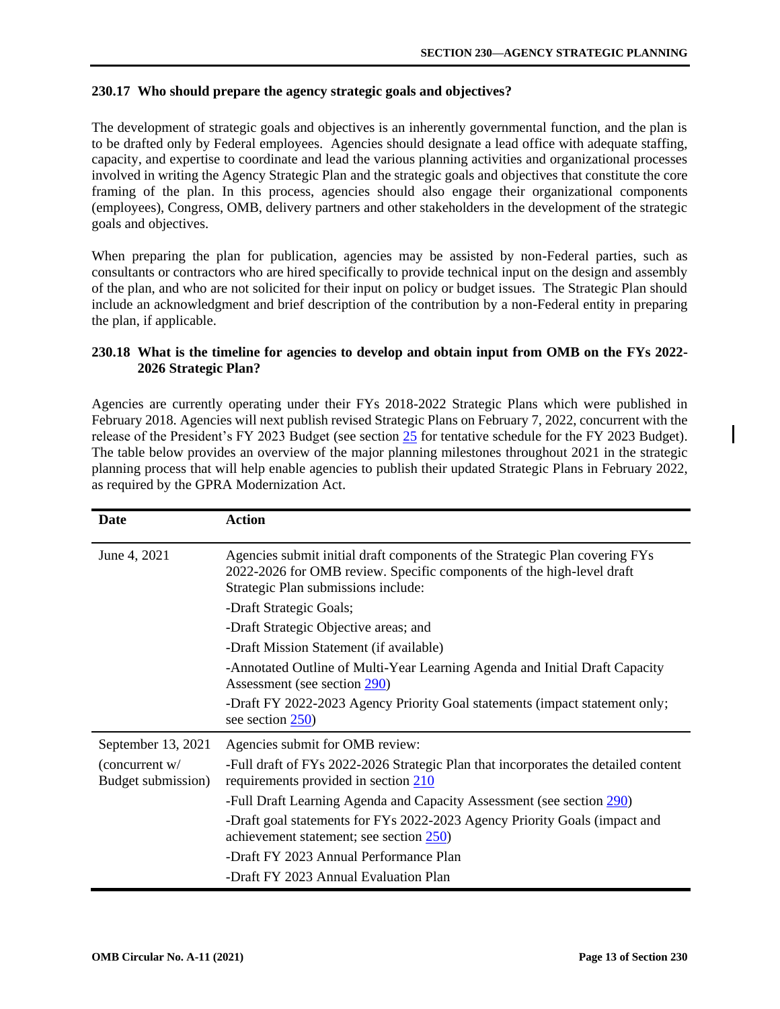## <span id="page-12-0"></span>**230.17 Who should prepare the agency strategic goals and objectives?**

The development of strategic goals and objectives is an inherently governmental function, and the plan is to be drafted only by Federal employees. Agencies should designate a lead office with adequate staffing, capacity, and expertise to coordinate and lead the various planning activities and organizational processes involved in writing the Agency Strategic Plan and the strategic goals and objectives that constitute the core framing of the plan. In this process, agencies should also engage their organizational components (employees), Congress, OMB, delivery partners and other stakeholders in the development of the strategic goals and objectives.

When preparing the plan for publication, agencies may be assisted by non-Federal parties, such as consultants or contractors who are hired specifically to provide technical input on the design and assembly of the plan, and who are not solicited for their input on policy or budget issues. The Strategic Plan should include an acknowledgment and brief description of the contribution by a non-Federal entity in preparing the plan, if applicable.

## **230.18 What is the timeline for agencies to develop and obtain input from OMB on the FYs 2022- 2026 Strategic Plan?**

Agencies are currently operating under their FYs 2018-2022 Strategic Plans which were published in February 2018. Agencies will next publish revised Strategic Plans on February 7, 2022, concurrent with the release of the President's FY 2023 Budget (see section [25](https://www.whitehouse.gov/wp-content/uploads/2018/06/s25.pdf) for tentative schedule for the FY 2023 Budget). The table below provides an overview of the major planning milestones throughout 2021 in the strategic planning process that will help enable agencies to publish their updated Strategic Plans in February 2022, as required by the GPRA Modernization Act.

| Date                                   | <b>Action</b>                                                                                                                                                                               |
|----------------------------------------|---------------------------------------------------------------------------------------------------------------------------------------------------------------------------------------------|
| June 4, 2021                           | Agencies submit initial draft components of the Strategic Plan covering FYs<br>2022-2026 for OMB review. Specific components of the high-level draft<br>Strategic Plan submissions include: |
|                                        | -Draft Strategic Goals;                                                                                                                                                                     |
|                                        | -Draft Strategic Objective areas; and                                                                                                                                                       |
|                                        | -Draft Mission Statement (if available)                                                                                                                                                     |
|                                        | -Annotated Outline of Multi-Year Learning Agenda and Initial Draft Capacity<br>Assessment (see section 290)                                                                                 |
|                                        | -Draft FY 2022-2023 Agency Priority Goal statements (impact statement only;<br>see section 250)                                                                                             |
| September 13, 2021                     | Agencies submit for OMB review:                                                                                                                                                             |
| (concurrent $w/$<br>Budget submission) | -Full draft of FYs 2022-2026 Strategic Plan that incorporates the detailed content<br>requirements provided in section 210                                                                  |
|                                        | -Full Draft Learning Agenda and Capacity Assessment (see section 290)                                                                                                                       |
|                                        | -Draft goal statements for FYs 2022-2023 Agency Priority Goals (impact and<br>achievement statement; see section 250)                                                                       |
|                                        | -Draft FY 2023 Annual Performance Plan                                                                                                                                                      |
|                                        | -Draft FY 2023 Annual Evaluation Plan                                                                                                                                                       |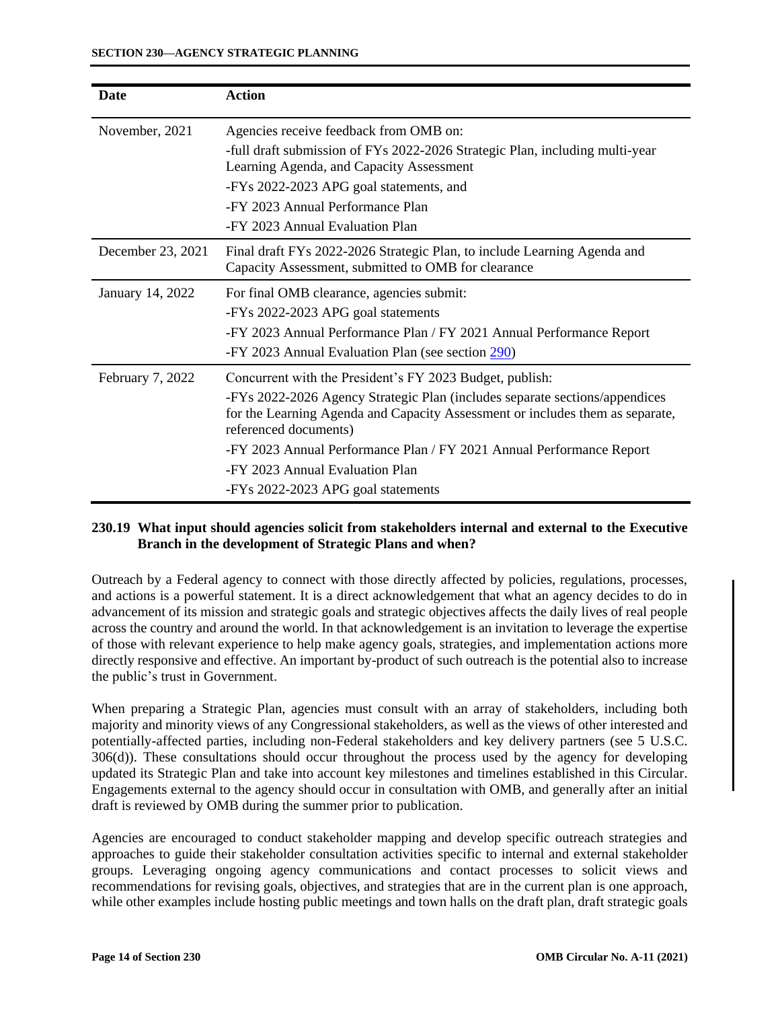<span id="page-13-0"></span>

| <b>Date</b>       | <b>Action</b>                                                                                                                                                                         |
|-------------------|---------------------------------------------------------------------------------------------------------------------------------------------------------------------------------------|
| November, 2021    | Agencies receive feedback from OMB on:                                                                                                                                                |
|                   | -full draft submission of FYs 2022-2026 Strategic Plan, including multi-year<br>Learning Agenda, and Capacity Assessment                                                              |
|                   | -FYs 2022-2023 APG goal statements, and                                                                                                                                               |
|                   | -FY 2023 Annual Performance Plan                                                                                                                                                      |
|                   | -FY 2023 Annual Evaluation Plan                                                                                                                                                       |
| December 23, 2021 | Final draft FYs 2022-2026 Strategic Plan, to include Learning Agenda and<br>Capacity Assessment, submitted to OMB for clearance                                                       |
| January 14, 2022  | For final OMB clearance, agencies submit:                                                                                                                                             |
|                   | -FYs 2022-2023 APG goal statements                                                                                                                                                    |
|                   | -FY 2023 Annual Performance Plan / FY 2021 Annual Performance Report                                                                                                                  |
|                   | -FY 2023 Annual Evaluation Plan (see section 290)                                                                                                                                     |
| February 7, 2022  | Concurrent with the President's FY 2023 Budget, publish:                                                                                                                              |
|                   | -FYs 2022-2026 Agency Strategic Plan (includes separate sections/appendices<br>for the Learning Agenda and Capacity Assessment or includes them as separate,<br>referenced documents) |
|                   | -FY 2023 Annual Performance Plan / FY 2021 Annual Performance Report                                                                                                                  |
|                   | -FY 2023 Annual Evaluation Plan                                                                                                                                                       |
|                   | -FYs 2022-2023 APG goal statements                                                                                                                                                    |

## **230.19 What input should agencies solicit from stakeholders internal and external to the Executive Branch in the development of Strategic Plans and when?**

Outreach by a Federal agency to connect with those directly affected by policies, regulations, processes, and actions is a powerful statement. It is a direct acknowledgement that what an agency decides to do in advancement of its mission and strategic goals and strategic objectives affects the daily lives of real people across the country and around the world. In that acknowledgement is an invitation to leverage the expertise of those with relevant experience to help make agency goals, strategies, and implementation actions more directly responsive and effective. An important by-product of such outreach is the potential also to increase the public's trust in Government.

When preparing a Strategic Plan, agencies must consult with an array of stakeholders, including both majority and minority views of any Congressional stakeholders, as well as the views of other interested and potentially-affected parties, including non-Federal stakeholders and key delivery partners (see 5 U.S.C. 306(d)). These consultations should occur throughout the process used by the agency for developing updated its Strategic Plan and take into account key milestones and timelines established in this Circular. Engagements external to the agency should occur in consultation with OMB, and generally after an initial draft is reviewed by OMB during the summer prior to publication.

Agencies are encouraged to conduct stakeholder mapping and develop specific outreach strategies and approaches to guide their stakeholder consultation activities specific to internal and external stakeholder groups. Leveraging ongoing agency communications and contact processes to solicit views and recommendations for revising goals, objectives, and strategies that are in the current plan is one approach, while other examples include hosting public meetings and town halls on the draft plan, draft strategic goals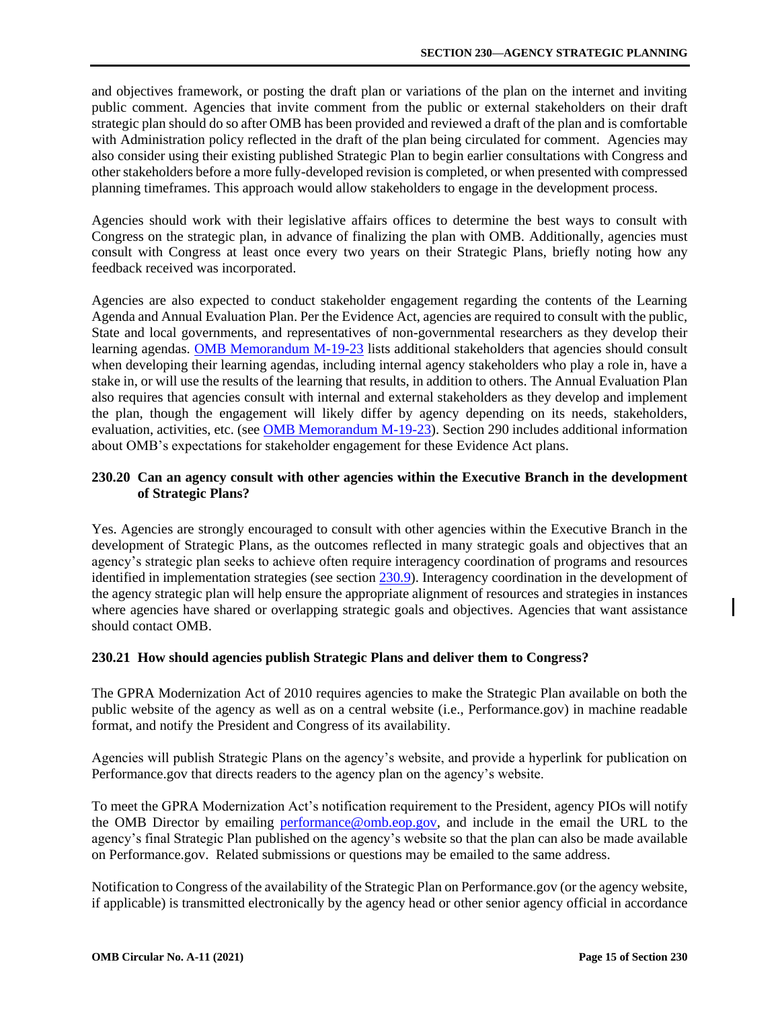<span id="page-14-0"></span>and objectives framework, or posting the draft plan or variations of the plan on the internet and inviting public comment. Agencies that invite comment from the public or external stakeholders on their draft strategic plan should do so after OMB has been provided and reviewed a draft of the plan and is comfortable with Administration policy reflected in the draft of the plan being circulated for comment. Agencies may also consider using their existing published Strategic Plan to begin earlier consultations with Congress and other stakeholders before a more fully-developed revision is completed, or when presented with compressed planning timeframes. This approach would allow stakeholders to engage in the development process.

Agencies should work with their legislative affairs offices to determine the best ways to consult with Congress on the strategic plan, in advance of finalizing the plan with OMB. Additionally, agencies must consult with Congress at least once every two years on their Strategic Plans, briefly noting how any feedback received was incorporated.

Agencies are also expected to conduct stakeholder engagement regarding the contents of the Learning Agenda and Annual Evaluation Plan. Per the Evidence Act, agencies are required to consult with the public, State and local governments, and representatives of non-governmental researchers as they develop their learning agendas. [OMB Memorandum M-19-23](https://www.whitehouse.gov/wp-content/uploads/2019/07/M-19-23.pdf#page=16) lists additional stakeholders that agencies should consult when developing their learning agendas, including internal agency stakeholders who play a role in, have a stake in, or will use the results of the learning that results, in addition to others. The Annual Evaluation Plan also requires that agencies consult with internal and external stakeholders as they develop and implement the plan, though the engagement will likely differ by agency depending on its needs, stakeholders, evaluation, activities, etc. (se[e OMB Memorandum M-19-23\)](https://www.whitehouse.gov/wp-content/uploads/2019/07/M-19-23.pdf#page=33). Section 290 includes additional information about OMB's expectations for stakeholder engagement for these Evidence Act plans.

## **230.20 Can an agency consult with other agencies within the Executive Branch in the development of Strategic Plans?**

Yes. Agencies are strongly encouraged to consult with other agencies within the Executive Branch in the development of Strategic Plans, as the outcomes reflected in many strategic goals and objectives that an agency's strategic plan seeks to achieve often require interagency coordination of programs and resources identified in implementation strategies (see section [230.9\).](#page-7-0) Interagency coordination in the development of the agency strategic plan will help ensure the appropriate alignment of resources and strategies in instances where agencies have shared or overlapping strategic goals and objectives. Agencies that want assistance should contact OMB.

## **230.21 How should agencies publish Strategic Plans and deliver them to Congress?**

The GPRA Modernization Act of 2010 requires agencies to make the Strategic Plan available on both the public website of the agency as well as on a central website (i.e., Performance.gov) in machine readable format, and notify the President and Congress of its availability.

Agencies will publish Strategic Plans on the agency's website, and provide a hyperlink for publication on Performance.gov that directs readers to the agency plan on the agency's website.

To meet the GPRA Modernization Act's notification requirement to the President, agency PIOs will notify the OMB Director by emailing [performance@omb.eop.gov,](mailto:performance@omb.eop.gov) and include in the email the URL to the agency's final Strategic Plan published on the agency's website so that the plan can also be made available on Performance.gov. Related submissions or questions may be emailed to the same address.

Notification to Congress of the availability of the Strategic Plan on Performance.gov (or the agency website, if applicable) is transmitted electronically by the agency head or other senior agency official in accordance